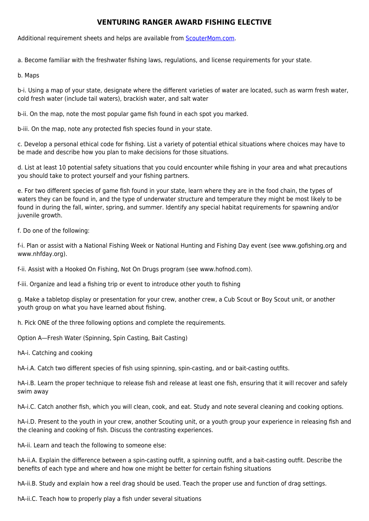## **VENTURING RANGER AWARD FISHING ELECTIVE**

Additional requirement sheets and helps are available from [ScouterMom.com](http://scoutermom.com).

a. Become familiar with the freshwater fishing laws, regulations, and license requirements for your state.

b. Maps

b-i. Using a map of your state, designate where the different varieties of water are located, such as warm fresh water, cold fresh water (include tail waters), brackish water, and salt water

b-ii. On the map, note the most popular game fish found in each spot you marked.

b-iii. On the map, note any protected fish species found in your state.

c. Develop a personal ethical code for fishing. List a variety of potential ethical situations where choices may have to be made and describe how you plan to make decisions for those situations.

d. List at least 10 potential safety situations that you could encounter while fishing in your area and what precautions you should take to protect yourself and your fishing partners.

e. For two different species of game fish found in your state, learn where they are in the food chain, the types of waters they can be found in, and the type of underwater structure and temperature they might be most likely to be found in during the fall, winter, spring, and summer. Identify any special habitat requirements for spawning and/or juvenile growth.

f. Do one of the following:

f-i. Plan or assist with a National Fishing Week or National Hunting and Fishing Day event (see www.gofishing.org and www.nhfday.org).

f-ii. Assist with a Hooked On Fishing, Not On Drugs program (see www.hofnod.com).

f-iii. Organize and lead a fishing trip or event to introduce other youth to fishing

g. Make a tabletop display or presentation for your crew, another crew, a Cub Scout or Boy Scout unit, or another youth group on what you have learned about fishing.

h. Pick ONE of the three following options and complete the requirements.

Option A—Fresh Water (Spinning, Spin Casting, Bait Casting)

hA-i. Catching and cooking

hA-i.A. Catch two different species of fish using spinning, spin-casting, and or bait-casting outfits.

hA-i.B. Learn the proper technique to release fish and release at least one fish, ensuring that it will recover and safely swim away

hA-i.C. Catch another fish, which you will clean, cook, and eat. Study and note several cleaning and cooking options.

hA-i.D. Present to the youth in your crew, another Scouting unit, or a youth group your experience in releasing fish and the cleaning and cooking of fish. Discuss the contrasting experiences.

hA-ii. Learn and teach the following to someone else:

hA-ii.A. Explain the difference between a spin-casting outfit, a spinning outfit, and a bait-casting outfit. Describe the benefits of each type and where and how one might be better for certain fishing situations

hA-ii.B. Study and explain how a reel drag should be used. Teach the proper use and function of drag settings.

hA-ii.C. Teach how to properly play a fish under several situations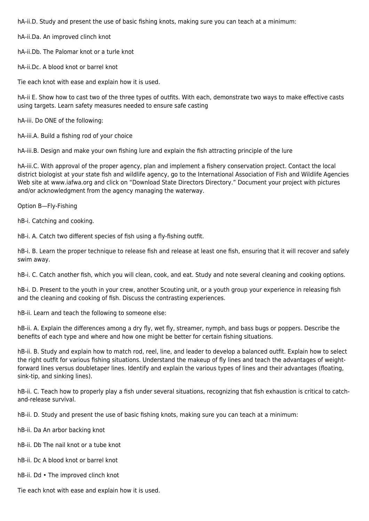hA-ii.D. Study and present the use of basic fishing knots, making sure you can teach at a minimum:

hA-ii.Da. An improved clinch knot

hA-ii.Db. The Palomar knot or a turle knot

hA-ii.Dc. A blood knot or barrel knot

Tie each knot with ease and explain how it is used.

hA-ii E. Show how to cast two of the three types of outfits. With each, demonstrate two ways to make effective casts using targets. Learn safety measures needed to ensure safe casting

hA-iii. Do ONE of the following:

hA-iii.A. Build a fishing rod of your choice

hA-iii.B. Design and make your own fishing lure and explain the fish attracting principle of the lure

hA-iii.C. With approval of the proper agency, plan and implement a fishery conservation project. Contact the local district biologist at your state fish and wildlife agency, go to the International Association of Fish and Wildlife Agencies Web site at www.iafwa.org and click on "Download State Directors Directory." Document your project with pictures and/or acknowledgment from the agency managing the waterway.

Option B—Fly-Fishing

hB-i. Catching and cooking.

hB-i. A. Catch two different species of fish using a fly-fishing outfit.

hB-i. B. Learn the proper technique to release fish and release at least one fish, ensuring that it will recover and safely swim away.

hB-i. C. Catch another fish, which you will clean, cook, and eat. Study and note several cleaning and cooking options.

hB-i. D. Present to the youth in your crew, another Scouting unit, or a youth group your experience in releasing fish and the cleaning and cooking of fish. Discuss the contrasting experiences.

hB-ii. Learn and teach the following to someone else:

hB-ii. A. Explain the differences among a dry fly, wet fly, streamer, nymph, and bass bugs or poppers. Describe the benefits of each type and where and how one might be better for certain fishing situations.

hB-ii. B. Study and explain how to match rod, reel, line, and leader to develop a balanced outfit. Explain how to select the right outfit for various fishing situations. Understand the makeup of fly lines and teach the advantages of weightforward lines versus doubletaper lines. Identify and explain the various types of lines and their advantages (floating, sink-tip, and sinking lines).

hB-ii. C. Teach how to properly play a fish under several situations, recognizing that fish exhaustion is critical to catchand-release survival.

hB-ii. D. Study and present the use of basic fishing knots, making sure you can teach at a minimum:

hB-ii. Da An arbor backing knot

hB-ii. Db The nail knot or a tube knot

hB-ii. Dc A blood knot or barrel knot

hB-ii. Dd • The improved clinch knot

Tie each knot with ease and explain how it is used.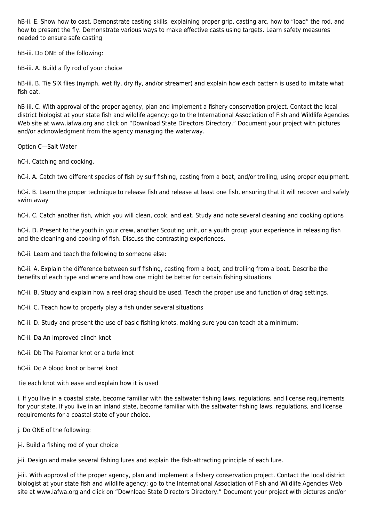hB-ii. E. Show how to cast. Demonstrate casting skills, explaining proper grip, casting arc, how to "load" the rod, and how to present the fly. Demonstrate various ways to make effective casts using targets. Learn safety measures needed to ensure safe casting

hB-iii. Do ONE of the following:

hB-iii. A. Build a fly rod of your choice

hB-iii. B. Tie SIX flies (nymph, wet fly, dry fly, and/or streamer) and explain how each pattern is used to imitate what fish eat.

hB-iii. C. With approval of the proper agency, plan and implement a fishery conservation project. Contact the local district biologist at your state fish and wildlife agency; go to the International Association of Fish and Wildlife Agencies Web site at www.iafwa.org and click on "Download State Directors Directory." Document your project with pictures and/or acknowledgment from the agency managing the waterway.

Option C—Salt Water

hC-i. Catching and cooking.

hC-i. A. Catch two different species of fish by surf fishing, casting from a boat, and/or trolling, using proper equipment.

hC-i. B. Learn the proper technique to release fish and release at least one fish, ensuring that it will recover and safely swim away

hC-i. C. Catch another fish, which you will clean, cook, and eat. Study and note several cleaning and cooking options

hC-i. D. Present to the youth in your crew, another Scouting unit, or a youth group your experience in releasing fish and the cleaning and cooking of fish. Discuss the contrasting experiences.

hC-ii. Learn and teach the following to someone else:

hC-ii. A. Explain the difference between surf fishing, casting from a boat, and trolling from a boat. Describe the benefits of each type and where and how one might be better for certain fishing situations

hC-ii. B. Study and explain how a reel drag should be used. Teach the proper use and function of drag settings.

hC-ii. C. Teach how to properly play a fish under several situations

hC-ii. D. Study and present the use of basic fishing knots, making sure you can teach at a minimum:

hC-ii. Da An improved clinch knot

hC-ii. Db The Palomar knot or a turle knot

hC-ii. Dc A blood knot or barrel knot

Tie each knot with ease and explain how it is used

i. If you live in a coastal state, become familiar with the saltwater fishing laws, regulations, and license requirements for your state. If you live in an inland state, become familiar with the saltwater fishing laws, regulations, and license requirements for a coastal state of your choice.

j. Do ONE of the following:

j-i. Build a fishing rod of your choice

j-ii. Design and make several fishing lures and explain the fish-attracting principle of each lure.

j-iii. With approval of the proper agency, plan and implement a fishery conservation project. Contact the local district biologist at your state fish and wildlife agency; go to the International Association of Fish and Wildlife Agencies Web site at www.iafwa.org and click on "Download State Directors Directory." Document your project with pictures and/or